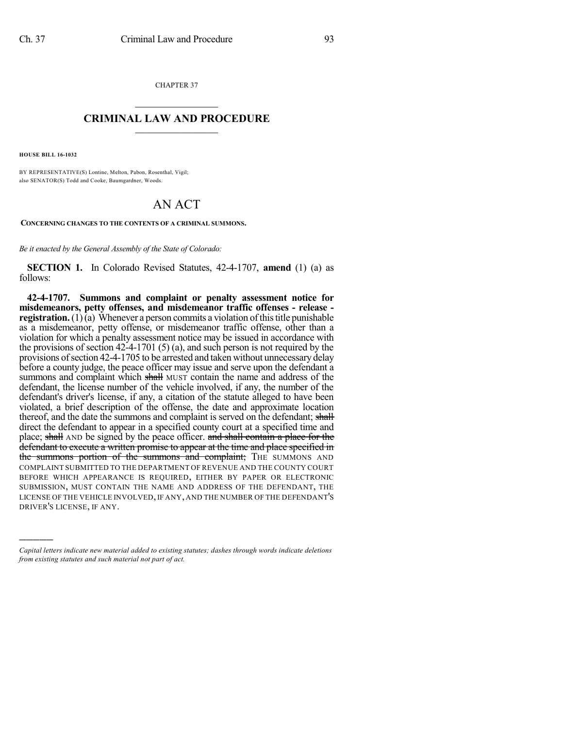CHAPTER 37  $\mathcal{L}_\text{max}$  . The set of the set of the set of the set of the set of the set of the set of the set of the set of the set of the set of the set of the set of the set of the set of the set of the set of the set of the set

## **CRIMINAL LAW AND PROCEDURE**  $\frac{1}{2}$  ,  $\frac{1}{2}$  ,  $\frac{1}{2}$  ,  $\frac{1}{2}$  ,  $\frac{1}{2}$  ,  $\frac{1}{2}$  ,  $\frac{1}{2}$

**HOUSE BILL 16-1032**

)))))

BY REPRESENTATIVE(S) Lontine, Melton, Pabon, Rosenthal, Vigil; also SENATOR(S) Todd and Cooke, Baumgardner, Woods.

## AN ACT

**CONCERNING CHANGES TO THE CONTENTS OF A CRIMINAL SUMMONS.**

*Be it enacted by the General Assembly of the State of Colorado:*

**SECTION 1.** In Colorado Revised Statutes, 42-4-1707, **amend** (1) (a) as follows:

**42-4-1707. Summons and complaint or penalty assessment notice for misdemeanors, petty offenses, and misdemeanor traffic offenses - release registration.** (1) $\bar{a}$ ) Whenever a person commits a violation of this title punishable as a misdemeanor, petty offense, or misdemeanor traffic offense, other than a violation for which a penalty assessment notice may be issued in accordance with the provisions of section 42-4-1701 (5) (a), and such person is not required by the provisions of section 42-4-1705 to be arrested and taken without unnecessary delay before a county judge, the peace officer may issue and serve upon the defendant a summons and complaint which shall MUST contain the name and address of the defendant, the license number of the vehicle involved, if any, the number of the defendant's driver's license, if any, a citation of the statute alleged to have been violated, a brief description of the offense, the date and approximate location thereof, and the date the summons and complaint is served on the defendant; shall direct the defendant to appear in a specified county court at a specified time and place; shall AND be signed by the peace officer. and shall contain a place for the defendant to execute a written promise to appear at the time and place specified in the summons portion of the summons and complaint; THE SUMMONS AND COMPLAINT SUBMITTED TO THE DEPARTMENT OF REVENUE AND THE COUNTY COURT BEFORE WHICH APPEARANCE IS REQUIRED, EITHER BY PAPER OR ELECTRONIC SUBMISSION, MUST CONTAIN THE NAME AND ADDRESS OF THE DEFENDANT, THE LICENSE OF THE VEHICLE INVOLVED, IF ANY, AND THE NUMBER OF THE DEFENDANT'S DRIVER'S LICENSE, IF ANY.

*Capital letters indicate new material added to existing statutes; dashes through words indicate deletions from existing statutes and such material not part of act.*